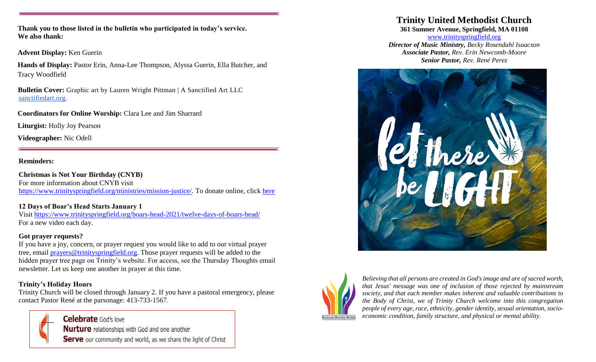**Thank you to those listed in the bulletin who participated in today's service. We also thank:**

**Advent Display:** Ken Guerin

**Hands of Display:** Pastor Erin, Anna-Lee Thompson, Alyssa Guerin, Ella Butcher, and Tracy Woodfield

**Bulletin Cover:** Graphic art by Lauren Wright Pittman | A Sanctified Art LLC [sanctifiedart.org](http://sanctifiedart.org/).

**Coordinators for Online Worship:** Clara Lee and Jim Sharrard

**Liturgist:** Holly Joy Pearson

**Videographer:** Nic Odell

## **Reminders:**

**Christmas is Not Your Birthday (CNYB)** For more information about CNYB visit [https://www.trinityspringfield.org/ministries/mission-justice/.](https://www.trinityspringfield.org/ministries/mission-justice/) To donate online, click [here](https://www.eservicepayments.com/cgi-bin/Vanco_ver3.vps?appver3=Fi1giPL8kwX_Oe1AO50jRj0vhAzzjr3DiPty7PedB4zHO3iVYxvvxhHjRfLOeq662EvVVAEjqawDomKT1pboucydriD7IDxVhDy8eQdwHic=)

# **12 Days of Boar's Head Starts January 1**

Visit<https://www.trinityspringfield.org/boars-head-2021/twelve-days-of-boars-head/> For a new video each day.

## **Got prayer requests?**

If you have a joy, concern, or prayer request you would like to add to our virtual prayer tree, email [prayers@trinityspringfield.org.](mailto:prayers@trinityspringfield.org) Those prayer requests will be added to the hidden prayer tree page on Trinity's website. For access, see the Thursday Thoughts email newsletter. Let us keep one another in prayer at this time.

# **Trinity's Holiday Hours**

Trinity Church will be closed through January 2. If you have a pastoral emergency, please contact Pastor René at the parsonage: 413-733-1567.

> Celebrate God's love Nurture relationships with God and one another Serve our community and world, as we share the light of Christ

# **Trinity United Methodist Church**

**361 Sumner Avenue, Springfield, MA 01108**

[www.trinityspringfield.org](http://www.trinityspringfield.org/) *Director of Music Ministry, Becky Rosendahl Isaacson Associate Pastor, Rev. Erin Newcomb-Moore Senior Pastor, Rev. René Perez*





*Believing that all persons are created in God's image and are of sacred worth, that Jesus' message was one of inclusion of those rejected by mainstream society, and that each member makes inherent and valuable contributions to the Body of Christ, we of Trinity Church welcome into this congregation people of every age, race, ethnicity, gender identity, sexual orientation, socioeconomic condition, family structure, and physical or mental ability.*